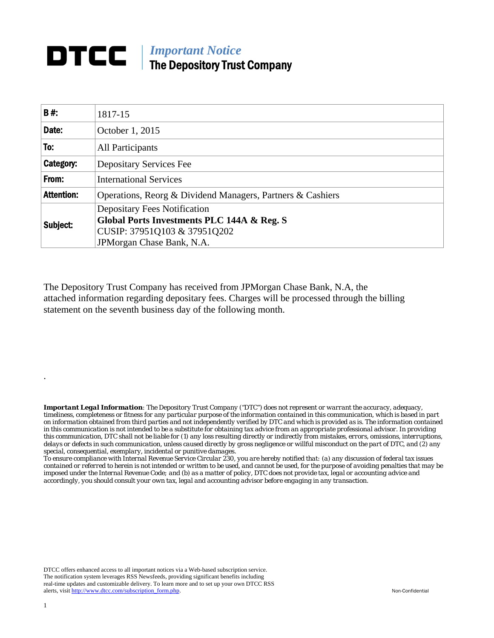## **DTCC** | *Important Notice* The Depository Trust Company

| <b>B#:</b>        | 1817-15                                                                                      |  |  |  |  |  |
|-------------------|----------------------------------------------------------------------------------------------|--|--|--|--|--|
| Date:             | October 1, 2015                                                                              |  |  |  |  |  |
| To:               | All Participants                                                                             |  |  |  |  |  |
| Category:         | <b>Depositary Services Fee</b>                                                               |  |  |  |  |  |
| From:             | <b>International Services</b>                                                                |  |  |  |  |  |
| <b>Attention:</b> | Operations, Reorg & Dividend Managers, Partners & Cashiers                                   |  |  |  |  |  |
| Subject:          | <b>Depositary Fees Notification</b><br><b>Global Ports Investments PLC 144A &amp; Reg. S</b> |  |  |  |  |  |
|                   | CUSIP: 37951Q103 & 37951Q202<br>JPMorgan Chase Bank, N.A.                                    |  |  |  |  |  |

The Depository Trust Company has received from JPMorgan Chase Bank, N.A, the attached information regarding depositary fees. Charges will be processed through the billing statement on the seventh business day of the following month.

*Important Legal Information: The Depository Trust Company ("DTC") does not represent or warrant the accuracy, adequacy, timeliness, completeness or fitness for any particular purpose of the information contained in this communication, which is based in part on information obtained from third parties and not independently verified by DTC and which is provided as is. The information contained in this communication is not intended to be a substitute for obtaining tax advice from an appropriate professional advisor. In providing this communication, DTC shall not be liable for (1) any loss resulting directly or indirectly from mistakes, errors, omissions, interruptions, delays or defects in such communication, unless caused directly by gross negligence or willful misconduct on the part of DTC, and (2) any special, consequential, exemplary, incidental or punitive damages.* 

*To ensure compliance with Internal Revenue Service Circular 230, you are hereby notified that: (a) any discussion of federal tax issues contained or referred to herein is not intended or written to be used, and cannot be used, for the purpose of avoiding penalties that may be imposed under the Internal Revenue Code; and (b) as a matter of policy, DTC does not provide tax, legal or accounting advice and accordingly, you should consult your own tax, legal and accounting advisor before engaging in any transaction.*

DTCC offers enhanced access to all important notices via a Web-based subscription service. The notification system leverages RSS Newsfeeds, providing significant benefits including real-time updates and customizable delivery. To learn more and to set up your own DTCC RSS alerts, visit http://www.dtcc.com/subscription\_form.php. Non-Confidential

.